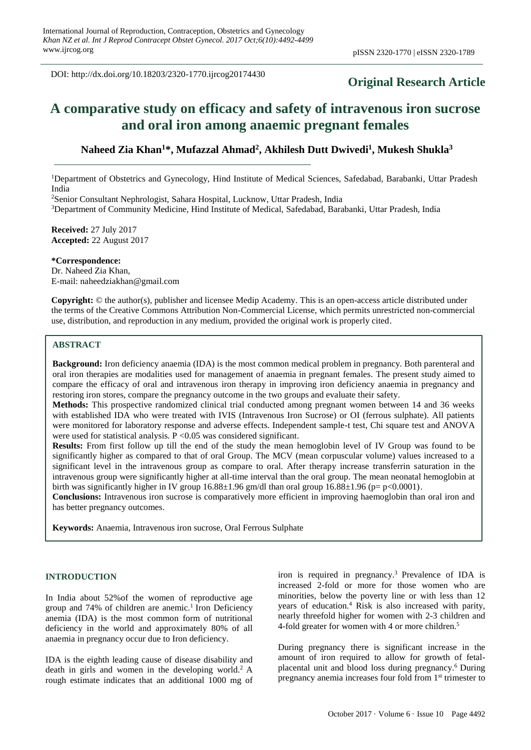DOI: http://dx.doi.org/10.18203/2320-1770.ijrcog20174430

## **Original Research Article**

# **A comparative study on efficacy and safety of intravenous iron sucrose and oral iron among anaemic pregnant females**

## **Naheed Zia Khan<sup>1</sup>\*, Mufazzal Ahmad<sup>2</sup> , Akhilesh Dutt Dwivedi<sup>1</sup> , Mukesh Shukla<sup>3</sup>**

<sup>1</sup>Department of Obstetrics and Gynecology, Hind Institute of Medical Sciences, Safedabad, Barabanki, Uttar Pradesh India

<sup>2</sup>Senior Consultant Nephrologist, Sahara Hospital, Lucknow, Uttar Pradesh, India

<sup>3</sup>Department of Community Medicine, Hind Institute of Medical, Safedabad, Barabanki, Uttar Pradesh, India

**Received:** 27 July 2017 **Accepted:** 22 August 2017

**\*Correspondence:** Dr. Naheed Zia Khan, E-mail: naheedziakhan@gmail.com

**Copyright:** © the author(s), publisher and licensee Medip Academy. This is an open-access article distributed under the terms of the Creative Commons Attribution Non-Commercial License, which permits unrestricted non-commercial use, distribution, and reproduction in any medium, provided the original work is properly cited.

#### **ABSTRACT**

**Background:** Iron deficiency anaemia (IDA) is the most common medical problem in pregnancy. Both parenteral and oral iron therapies are modalities used for management of anaemia in pregnant females. The present study aimed to compare the efficacy of oral and intravenous iron therapy in improving iron deficiency anaemia in pregnancy and restoring iron stores, compare the pregnancy outcome in the two groups and evaluate their safety.

**Methods:** This prospective randomized clinical trial conducted among pregnant women between 14 and 36 weeks with established IDA who were treated with IVIS (Intravenous Iron Sucrose) or OI (ferrous sulphate). All patients were monitored for laboratory response and adverse effects. Independent sample-t test, Chi square test and ANOVA were used for statistical analysis.  $P \leq 0.05$  was considered significant.

**Results:** From first follow up till the end of the study the mean hemoglobin level of IV Group was found to be significantly higher as compared to that of oral Group. The MCV (mean corpuscular volume) values increased to a significant level in the intravenous group as compare to oral. After therapy increase transferrin saturation in the intravenous group were significantly higher at all-time interval than the oral group. The mean neonatal hemoglobin at birth was significantly higher in IV group  $16.88\pm1.96$  gm/dl than oral group  $16.88\pm1.96$  (p= p<0.0001).

**Conclusions:** Intravenous iron sucrose is comparatively more efficient in improving haemoglobin than oral iron and has better pregnancy outcomes.

**Keywords:** Anaemia, Intravenous iron sucrose, Oral Ferrous Sulphate

#### **INTRODUCTION**

In India about 52%of the women of reproductive age group and 74% of children are anemic.<sup>1</sup> Iron Deficiency anemia (IDA) is the most common form of nutritional deficiency in the world and approximately 80% of all anaemia in pregnancy occur due to Iron deficiency.

IDA is the eighth leading cause of disease disability and death in girls and women in the developing world.<sup>2</sup> A rough estimate indicates that an additional 1000 mg of iron is required in pregnancy.<sup>3</sup> Prevalence of IDA is increased 2-fold or more for those women who are minorities, below the poverty line or with less than 12 years of education.<sup>4</sup> Risk is also increased with parity, nearly threefold higher for women with 2-3 children and 4-fold greater for women with 4 or more children.<sup>5</sup>

During pregnancy there is significant increase in the amount of iron required to allow for growth of fetalplacental unit and blood loss during pregnancy.<sup>6</sup> During pregnancy anemia increases four fold from 1<sup>st</sup> trimester to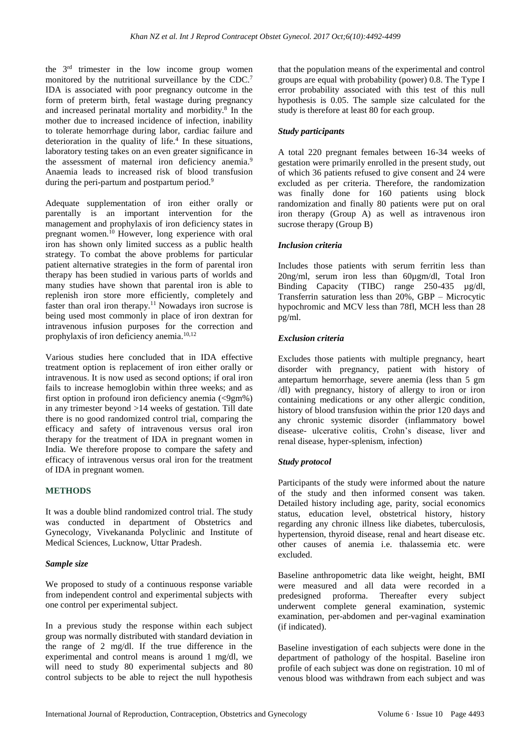the 3 rd trimester in the low income group women monitored by the nutritional surveillance by the CDC.<sup>7</sup> IDA is associated with poor pregnancy outcome in the form of preterm birth, fetal wastage during pregnancy and increased perinatal mortality and morbidity.<sup>8</sup> In the mother due to increased incidence of infection, inability to tolerate hemorrhage during labor, cardiac failure and deterioration in the quality of life.<sup>4</sup> In these situations, laboratory testing takes on an even greater significance in the assessment of maternal iron deficiency anemia.<sup>9</sup> Anaemia leads to increased risk of blood transfusion during the peri-partum and postpartum period. $9$ 

Adequate supplementation of iron either orally or parentally is an important intervention for the management and prophylaxis of iron deficiency states in pregnant women.<sup>10</sup> However, long experience with oral iron has shown only limited success as a public health strategy. To combat the above problems for particular patient alternative strategies in the form of parental iron therapy has been studied in various parts of worlds and many studies have shown that parental iron is able to replenish iron store more efficiently, completely and faster than oral iron therapy.<sup>11</sup> Nowadays iron sucrose is being used most commonly in place of iron dextran for intravenous infusion purposes for the correction and prophylaxis of iron deficiency anemia.<sup>10,12</sup>

Various studies here concluded that in IDA effective treatment option is replacement of iron either orally or intravenous. It is now used as second options; if oral iron fails to increase hemoglobin within three weeks; and as first option in profound iron deficiency anemia (<9gm%) in any trimester beyond >14 weeks of gestation. Till date there is no good randomized control trial, comparing the efficacy and safety of intravenous versus oral iron therapy for the treatment of IDA in pregnant women in India. We therefore propose to compare the safety and efficacy of intravenous versus oral iron for the treatment of IDA in pregnant women.

#### **METHODS**

It was a double blind randomized control trial. The study was conducted in department of Obstetrics and Gynecology, Vivekananda Polyclinic and Institute of Medical Sciences, Lucknow, Uttar Pradesh.

#### *Sample size*

We proposed to study of a continuous response variable from independent control and experimental subjects with one control per experimental subject.

In a previous study the response within each subject group was normally distributed with standard deviation in the range of 2 mg/dl. If the true difference in the experimental and control means is around 1 mg/dl, we will need to study 80 experimental subjects and 80 control subjects to be able to reject the null hypothesis that the population means of the experimental and control groups are equal with probability (power) 0.8. The Type I error probability associated with this test of this null hypothesis is 0.05. The sample size calculated for the study is therefore at least 80 for each group.

#### *Study participants*

A total 220 pregnant females between 16-34 weeks of gestation were primarily enrolled in the present study, out of which 36 patients refused to give consent and 24 were excluded as per criteria. Therefore, the randomization was finally done for 160 patients using block randomization and finally 80 patients were put on oral iron therapy (Group A) as well as intravenous iron sucrose therapy (Group B)

#### *Inclusion criteria*

Includes those patients with serum ferritin less than 20ng/ml, serum iron less than 60µgm/dl, Total Iron Binding Capacity (TIBC) range 250-435 µg/dl, Transferrin saturation less than 20%, GBP – Microcytic hypochromic and MCV less than 78fl, MCH less than 28 pg/ml.

#### *Exclusion criteria*

Excludes those patients with multiple pregnancy, heart disorder with pregnancy, patient with history of antepartum hemorrhage, severe anemia (less than 5 gm /dl) with pregnancy, history of allergy to iron or iron containing medications or any other allergic condition, history of blood transfusion within the prior 120 days and any chronic systemic disorder (inflammatory bowel disease- ulcerative colitis, Crohn's disease, liver and renal disease, hyper-splenism, infection)

#### *Study protocol*

Participants of the study were informed about the nature of the study and then informed consent was taken. Detailed history including age, parity, social economics status, education level, obstetrical history, history regarding any chronic illness like diabetes, tuberculosis, hypertension, thyroid disease, renal and heart disease etc. other causes of anemia i.e. thalassemia etc. were excluded.

Baseline anthropometric data like weight, height, BMI were measured and all data were recorded in a predesigned proforma. Thereafter every subject underwent complete general examination, systemic examination, per-abdomen and per-vaginal examination (if indicated).

Baseline investigation of each subjects were done in the department of pathology of the hospital. Baseline iron profile of each subject was done on registration. 10 ml of venous blood was withdrawn from each subject and was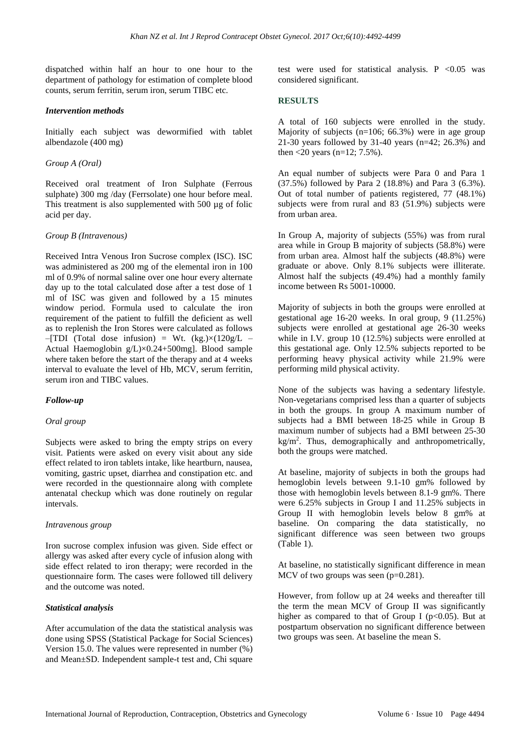dispatched within half an hour to one hour to the department of pathology for estimation of complete blood counts, serum ferritin, serum iron, serum TIBC etc.

#### *Intervention methods*

Initially each subject was dewormified with tablet albendazole (400 mg)

#### *Group A (Oral)*

Received oral treatment of Iron Sulphate (Ferrous sulphate) 300 mg /day (Ferrsolate) one hour before meal. This treatment is also supplemented with 500 µg of folic acid per day.

#### *Group B (Intravenous)*

Received Intra Venous Iron Sucrose complex (ISC). ISC was administered as 200 mg of the elemental iron in 100 ml of 0.9% of normal saline over one hour every alternate day up to the total calculated dose after a test dose of 1 ml of ISC was given and followed by a 15 minutes window period. Formula used to calculate the iron requirement of the patient to fulfill the deficient as well as to replenish the Iron Stores were calculated as follows  $-$ [TDI (Total dose infusion) = Wt. (kg.) $\times$ (120g/L – Actual Haemoglobin g/L)×0.24+500mg]. Blood sample where taken before the start of the therapy and at 4 weeks interval to evaluate the level of Hb, MCV, serum ferritin, serum iron and TIBC values.

#### *Follow-up*

#### *Oral group*

Subjects were asked to bring the empty strips on every visit. Patients were asked on every visit about any side effect related to iron tablets intake, like heartburn, nausea, vomiting, gastric upset, diarrhea and constipation etc. and were recorded in the questionnaire along with complete antenatal checkup which was done routinely on regular intervals.

#### *Intravenous group*

Iron sucrose complex infusion was given. Side effect or allergy was asked after every cycle of infusion along with side effect related to iron therapy; were recorded in the questionnaire form. The cases were followed till delivery and the outcome was noted.

#### *Statistical analysis*

After accumulation of the data the statistical analysis was done using SPSS (Statistical Package for Social Sciences) Version 15.0. The values were represented in number (%) and Mean±SD. Independent sample-t test and, Chi square

test were used for statistical analysis. P  $< 0.05$  was considered significant.

#### **RESULTS**

A total of 160 subjects were enrolled in the study. Majority of subjects (n=106; 66.3%) were in age group 21-30 years followed by 31-40 years (n=42; 26.3%) and then  $<$  20 years (n=12; 7.5%).

An equal number of subjects were Para 0 and Para 1 (37.5%) followed by Para 2 (18.8%) and Para 3 (6.3%). Out of total number of patients registered, 77 (48.1%) subjects were from rural and 83 (51.9%) subjects were from urban area.

In Group A, majority of subjects (55%) was from rural area while in Group B majority of subjects (58.8%) were from urban area. Almost half the subjects (48.8%) were graduate or above. Only 8.1% subjects were illiterate. Almost half the subjects (49.4%) had a monthly family income between Rs 5001-10000.

Majority of subjects in both the groups were enrolled at gestational age 16-20 weeks. In oral group, 9 (11.25%) subjects were enrolled at gestational age 26-30 weeks while in I.V. group 10 (12.5%) subjects were enrolled at this gestational age. Only 12.5% subjects reported to be performing heavy physical activity while 21.9% were performing mild physical activity.

None of the subjects was having a sedentary lifestyle. Non-vegetarians comprised less than a quarter of subjects in both the groups. In group A maximum number of subjects had a BMI between 18-25 while in Group B maximum number of subjects had a BMI between 25-30 kg/m<sup>2</sup>. Thus, demographically and anthropometrically, both the groups were matched.

At baseline, majority of subjects in both the groups had hemoglobin levels between 9.1-10 gm% followed by those with hemoglobin levels between 8.1-9 gm%. There were 6.25% subjects in Group I and 11.25% subjects in Group II with hemoglobin levels below 8 gm% at baseline. On comparing the data statistically, no significant difference was seen between two groups (Table 1).

At baseline, no statistically significant difference in mean MCV of two groups was seen (p=0.281).

However, from follow up at 24 weeks and thereafter till the term the mean MCV of Group II was significantly higher as compared to that of Group I ( $p<0.05$ ). But at postpartum observation no significant difference between two groups was seen. At baseline the mean S.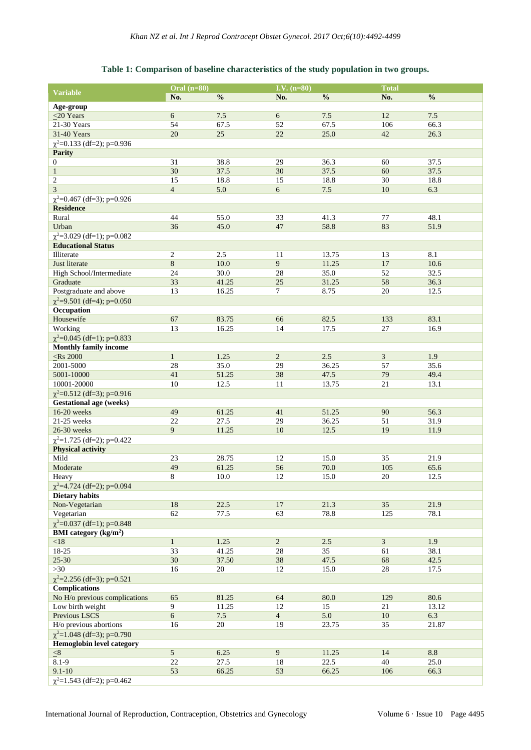### **Table 1: Comparison of baseline characteristics of the study population in two groups.**

|                                                   | Oral $(n=80)$   |                | I.V. $(n=80)$  |               | <b>Total</b>   |               |
|---------------------------------------------------|-----------------|----------------|----------------|---------------|----------------|---------------|
| <b>Variable</b>                                   | No.             | $\frac{0}{0}$  | No.            | $\frac{0}{0}$ | No.            | $\frac{0}{0}$ |
| Age-group                                         |                 |                |                |               |                |               |
| $<$ 20 Years                                      | 6               | $7.5$          | $6\,$          | 7.5           | 12             | 7.5           |
| 21-30 Years                                       | 54              | 67.5           | 52             | 67.5          | 106            | 66.3          |
| 31-40 Years                                       | 20              | 25             | 22             | 25.0          | 42             | 26.3          |
| $\chi^2$ =0.133 (df=2); p=0.936                   |                 |                |                |               |                |               |
| <b>Parity</b>                                     |                 |                |                |               |                |               |
| 0                                                 | 31              | 38.8           | 29             | 36.3          | 60             | 37.5          |
| $\mathbf{1}$                                      | 30              | 37.5           | 30             | 37.5          | 60             | 37.5          |
| $\overline{c}$                                    | 15              | 18.8           | 15             | 18.8          | 30             | 18.8          |
| 3                                                 | $\overline{4}$  | 5.0            | $6\,$          | 7.5           | 10             | 6.3           |
| $\chi^2$ =0.467 (df=3); p=0.926                   |                 |                |                |               |                |               |
| <b>Residence</b>                                  |                 |                |                |               |                |               |
| Rural                                             | 44              | 55.0           | 33             | 41.3          | 77             | 48.1          |
| Urban                                             | 36              | 45.0           | 47             | 58.8          | 83             | 51.9          |
| $\chi^2$ =3.029 (df=1); p=0.082                   |                 |                |                |               |                |               |
| <b>Educational Status</b>                         |                 |                |                |               |                |               |
| Illiterate                                        | 2               | 2.5            | 11             | 13.75         | 13             | 8.1           |
| Just literate                                     | $\overline{8}$  | 10.0           | 9              | 11.25         | 17             | 10.6          |
| High School/Intermediate                          | 24              | 30.0           | 28             | 35.0          | 52             | 32.5          |
| Graduate                                          | 33              | 41.25          | 25             | 31.25         | 58             | 36.3          |
| Postgraduate and above                            | 13              | 16.25          | 7              | 8.75          | 20             | 12.5          |
| $\chi^2$ =9.501 (df=4); p=0.050                   |                 |                |                |               |                |               |
| Occupation                                        |                 |                |                |               |                |               |
| Housewife                                         | 67              | 83.75          | 66             | 82.5          | 133            | 83.1          |
| Working                                           | 13              | 16.25          | 14             | 17.5          | 27             | 16.9          |
| $\chi^2$ =0.045 (df=1); p=0.833                   |                 |                |                |               |                |               |
| <b>Monthly family income</b>                      |                 |                |                |               |                |               |
| $<$ Rs 2000                                       | $\mathbf{1}$    | 1.25           | $\overline{2}$ | 2.5           | $\mathfrak{Z}$ | 1.9           |
| 2001-5000                                         | $28\,$          | 35.0           | 29             | 36.25         | 57             | 35.6          |
| 5001-10000                                        | 41              | 51.25          | 38             | 47.5          | 79             | 49.4          |
| 10001-20000                                       | 10              | 12.5           | 11             | 13.75         | 21             | 13.1          |
| $\chi^2$ =0.512 (df=3); p=0.916                   |                 |                |                |               |                |               |
| <b>Gestational age (weeks)</b>                    |                 |                |                |               |                |               |
| 16-20 weeks                                       | 49              | 61.25          | 41             | 51.25         | 90             | 56.3          |
| 21-25 weeks                                       | 22              | 27.5           | 29             | 36.25         | 51             | 31.9          |
| 26-30 weeks                                       | 9               | 11.25          | 10             | 12.5          | 19             | 11.9          |
| $\chi^2$ =1.725 (df=2); p=0.422                   |                 |                |                |               |                |               |
| <b>Physical activity</b>                          |                 |                |                |               |                |               |
| Mild                                              | 23              | 28.75          | 12             | 15.0          | 35             | 21.9          |
| Moderate                                          | 49              | 61.25          | 56             | 70.0          | 105            | 65.6          |
| Heavy                                             | 8               | 10.0           | 12             | 15.0          | 20             | 12.5          |
| $\chi^2$ =4.724 (df=2); p=0.094                   |                 |                |                |               |                |               |
| <b>Dietary habits</b>                             |                 |                |                |               |                |               |
| Non-Vegetarian                                    | 18              | 22.5           | 17             | 21.3          | 35             | 21.9          |
| Vegetarian                                        | 62              | 77.5           | 63             | 78.8          | 125            | 78.1          |
| $\chi^2$ =0.037 (df=1); p=0.848                   |                 |                |                |               |                |               |
| <b>BMI</b> category $(kg/m2)$                     |                 |                |                |               |                |               |
| $<18$                                             | $\mathbf{1}$    | 1.25           | $\overline{2}$ | $2.5$         | $\overline{3}$ | 1.9           |
| $18 - 25$                                         | 33              | 41.25          | 28             | 35            | 61             | 38.1          |
| $25 - 30$                                         | 30 <sup>°</sup> | 37.50          | 38             | 47.5          | 68             | 42.5          |
| >30                                               | 16              | 20             | 12             | 15.0          | 28             | 17.5          |
| $\chi^2$ =2.256 (df=3); p=0.521                   |                 |                |                |               |                |               |
| <b>Complications</b>                              |                 |                |                |               |                |               |
|                                                   |                 |                |                |               |                |               |
| No H/o previous complications<br>Low birth weight | 65<br>9         | 81.25<br>11.25 | 64<br>12       | 80.0<br>15    | 129<br>21      | 80.6<br>13.12 |
|                                                   | $\overline{6}$  |                |                |               |                |               |
| Previous LSCS                                     |                 | $7.5$          | $\overline{4}$ | 5.0           | 10             | 6.3           |
| H/o previous abortions                            | 16              | 20             | 19             | 23.75         | 35             | 21.87         |
| $\chi^2$ =1.048 (df=3); p=0.790                   |                 |                |                |               |                |               |
| Hemoglobin level category                         | $\overline{5}$  |                | 9              |               |                |               |
| $\leq 8$                                          |                 | 6.25           |                | 11.25         | 14             | 8.8           |
| $8.1 - 9$                                         | $22\,$          | 27.5           | 18             | 22.5          | 40             | 25.0          |
| $9.1 - 10$                                        | 53              | 66.25          | 53             | 66.25         | 106            | 66.3          |
| $\chi^2$ =1.543 (df=2); p=0.462                   |                 |                |                |               |                |               |

International Journal of Reproduction, Contraception, Obstetrics and Gynecology Volume 6 · Issue 10 Page 4495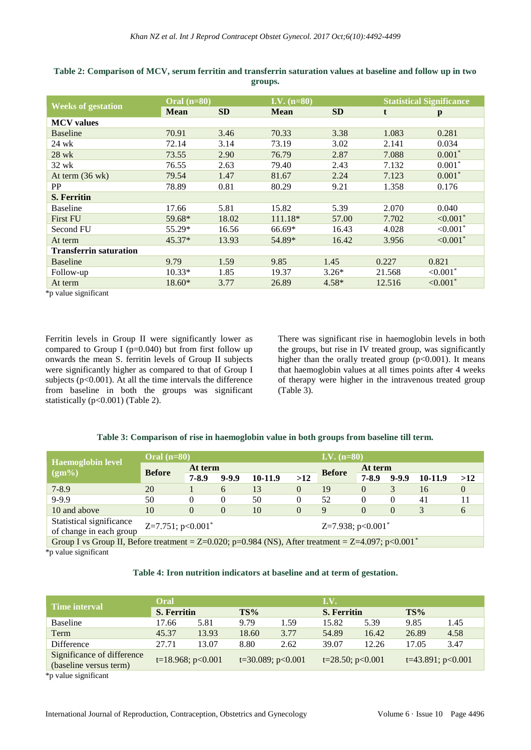|                               | Oral $(n=80)$ |           | I.V. $(n=80)$ |           | <b>Statistical Significance</b> |                           |  |
|-------------------------------|---------------|-----------|---------------|-----------|---------------------------------|---------------------------|--|
| <b>Weeks of gestation</b>     | <b>Mean</b>   | <b>SD</b> | <b>Mean</b>   | <b>SD</b> | t                               | p                         |  |
| <b>MCV</b> values             |               |           |               |           |                                 |                           |  |
| <b>Baseline</b>               | 70.91         | 3.46      | 70.33         | 3.38      | 1.083                           | 0.281                     |  |
| 24 wk                         | 72.14         | 3.14      | 73.19         | 3.02      | 2.141                           | 0.034                     |  |
| 28 wk                         | 73.55         | 2.90      | 76.79         | 2.87      | 7.088                           | $0.001*$                  |  |
| 32 wk                         | 76.55         | 2.63      | 79.40         | 2.43      | 7.132                           | $0.001*$                  |  |
| At term $(36 \text{ wk})$     | 79.54         | 1.47      | 81.67         | 2.24      | 7.123                           | $0.001*$                  |  |
| PP                            | 78.89         | 0.81      | 80.29         | 9.21      | 1.358                           | 0.176                     |  |
| <b>S. Ferritin</b>            |               |           |               |           |                                 |                           |  |
| <b>Baseline</b>               | 17.66         | 5.81      | 15.82         | 5.39      | 2.070                           | 0.040                     |  |
| <b>First FU</b>               | 59.68*        | 18.02     | 111.18*       | 57.00     | 7.702                           | ${<}0.001*$               |  |
| Second FU                     | 55.29*        | 16.56     | 66.69*        | 16.43     | 4.028                           | ${<}0.001*$               |  |
| At term                       | $45.37*$      | 13.93     | 54.89*        | 16.42     | 3.956                           | $\leq 0.001$ <sup>*</sup> |  |
| <b>Transferrin saturation</b> |               |           |               |           |                                 |                           |  |
| <b>Baseline</b>               | 9.79          | 1.59      | 9.85          | 1.45      | 0.227                           | 0.821                     |  |
| Follow-up                     | $10.33*$      | 1.85      | 19.37         | $3.26*$   | 21.568                          | $< 0.001$ <sup>*</sup>    |  |
| At term                       | $18.60*$      | 3.77      | 26.89         | $4.58*$   | 12.516                          | $< 0.001$ *               |  |

**Table 2: Comparison of MCV, serum ferritin and transferrin saturation values at baseline and follow up in two groups.**

\*p value significant

Ferritin levels in Group II were significantly lower as compared to Group I ( $p=0.040$ ) but from first follow up onwards the mean S. ferritin levels of Group II subjects were significantly higher as compared to that of Group I subjects ( $p<0.001$ ). At all the time intervals the difference from baseline in both the groups was significant statistically (p<0.001) (Table 2).

There was significant rise in haemoglobin levels in both the groups, but rise in IV treated group, was significantly higher than the orally treated group  $(p<0.001)$ . It means that haemoglobin values at all times points after 4 weeks of therapy were higher in the intravenous treated group (Table 3).

#### **Table 3: Comparison of rise in haemoglobin value in both groups from baseline till term.**

|                                                                                                                      | $\overline{\text{Oral (n=80)}}$  |           |                                 | $\overline{\mathbf{I.V. (n=80)}}$ |                |               |              |           |         |          |  |
|----------------------------------------------------------------------------------------------------------------------|----------------------------------|-----------|---------------------------------|-----------------------------------|----------------|---------------|--------------|-----------|---------|----------|--|
| <b>Haemoglobin level</b>                                                                                             | <b>Before</b>                    | At term   |                                 |                                   |                | <b>Before</b> |              | At term   |         |          |  |
| $(gm\%)$                                                                                                             |                                  | $7 - 8.9$ | $9 - 9.9$                       | 10-11.9                           | >12            |               | $7 - 8.9$    | $9 - 9.9$ | 10-11.9 | >12      |  |
| $7 - 8.9$                                                                                                            | 20                               |           | 6                               | 13                                | $\overline{0}$ | 19            | $\mathbf{0}$ | 3         | 16      | $\theta$ |  |
| $9 - 9.9$                                                                                                            | 50                               | $\left($  | $\Omega$                        | 50                                | 0              | 52            | $\Omega$     | $\Omega$  | 41      | 11       |  |
| 10 and above                                                                                                         | 10                               | $\theta$  | 0                               | 10                                | 0              | 9             | $\theta$     | 0         | 3       | 6        |  |
| Statistical significance<br>of change in each group                                                                  | $Z=7.751$ ; p<0.001 <sup>*</sup> |           | Z=7.938; $p<0.001$ <sup>*</sup> |                                   |                |               |              |           |         |          |  |
| Group I vs Group II, Before treatment = $Z=0.020$ ; p=0.984 (NS), After treatment = $Z=4.097$ ; p<0.001 <sup>*</sup> |                                  |           |                                 |                                   |                |               |              |           |         |          |  |
| *n voluo significant                                                                                                 |                                  |           |                                 |                                   |                |               |              |           |         |          |  |

\*p value significant

#### **Table 4: Iron nutrition indicators at baseline and at term of gestation.**

| <b>Time interval</b>                                 | Oral                      |                        |                    |                      | I.V.               |       |       |                        |  |
|------------------------------------------------------|---------------------------|------------------------|--------------------|----------------------|--------------------|-------|-------|------------------------|--|
|                                                      | <b>S. Ferritin</b><br>TS% |                        | <b>S. Ferritin</b> |                      | TS%                |       |       |                        |  |
| <b>Baseline</b>                                      | 17.66                     | 5.81                   | 9.79               | 1.59                 | 15.82              | 5.39  | 9.85  | 1.45                   |  |
| Term                                                 | 45.37                     | 13.93                  | 18.60              | 3.77                 | 54.89              | 16.42 | 26.89 | 4.58                   |  |
| Difference                                           | 27.71                     | 13.07                  | 8.80               | 2.62                 | 39.07              | 12.26 | 17.05 | 3.47                   |  |
| Significance of difference<br>(baseline versus term) |                           | $t=18.968$ ; $p<0.001$ |                    | $t=30.089$ ; p<0.001 | $t=28.50; p<0.001$ |       |       | $t=43.891$ ; $p<0.001$ |  |
| ********************                                 |                           |                        |                    |                      |                    |       |       |                        |  |

\*p value significant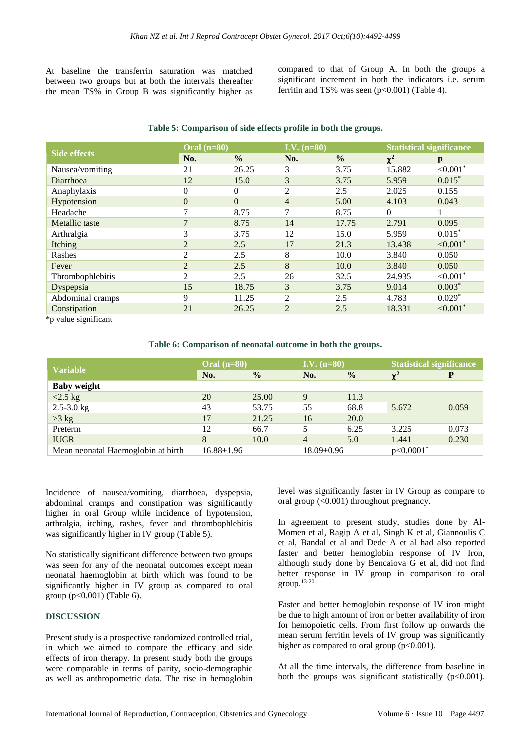At baseline the transferrin saturation was matched between two groups but at both the intervals thereafter the mean TS% in Group B was significantly higher as compared to that of Group A. In both the groups a significant increment in both the indicators i.e. serum ferritin and TS% was seen  $(p<0.001)$  (Table 4).

| <b>Side effects</b> | Oral $(n=80)$  |               | I.V. $(n=80)$  |               | <b>Statistical significance</b> |                        |  |
|---------------------|----------------|---------------|----------------|---------------|---------------------------------|------------------------|--|
|                     | No.            | $\frac{0}{0}$ | No.            | $\frac{0}{0}$ | $\chi^2$                        | $\mathbf{p}$           |  |
| Nausea/vomiting     | 21             | 26.25         | 3              | 3.75          | 15.882                          | ${<}0.001*$            |  |
| Diarrhoea           | 12             | 15.0          | 3              | 3.75          | 5.959                           | $0.015*$               |  |
| Anaphylaxis         | 0              | 0             | 2              | 2.5           | 2.025                           | 0.155                  |  |
| Hypotension         | $\theta$       | $\Omega$      | $\overline{4}$ | 5.00          | 4.103                           | 0.043                  |  |
| Headache            | 7              | 8.75          | 7              | 8.75          | $\Omega$                        |                        |  |
| Metallic taste      | $\overline{7}$ | 8.75          | 14             | 17.75         | 2.791                           | 0.095                  |  |
| Arthralgia          | 3              | 3.75          | 12             | 15.0          | 5.959                           | $0.015*$               |  |
| Itching             | $\overline{2}$ | 2.5           | 17             | 21.3          | 13.438                          | $< 0.001$ <sup>*</sup> |  |
| Rashes              | $\overline{c}$ | 2.5           | 8              | 10.0          | 3.840                           | 0.050                  |  |
| Fever               | $\overline{2}$ | 2.5           | 8              | 10.0          | 3.840                           | 0.050                  |  |
| Thrombophlebitis    | 2              | 2.5           | 26             | 32.5          | 24.935                          | $< 0.001$ <sup>*</sup> |  |
| Dyspepsia           | 15             | 18.75         | 3              | 3.75          | 9.014                           | $0.003*$               |  |
| Abdominal cramps    | 9              | 11.25         | 2              | 2.5           | 4.783                           | $0.029*$               |  |
| Constipation        | 21             | 26.25         | 2              | 2.5           | 18.331                          | $< 0.001$ *            |  |

#### **Table 5: Comparison of side effects profile in both the groups.**

\*p value significant

#### **Table 6: Comparison of neonatal outcome in both the groups.**

| <b>Variable</b>                    | $\overline{\text{Oral (n=80)}}$ |               | <b>I.V.</b> $(n=80)$ <sup> </sup> |               | <b>Statistical significance</b> |       |
|------------------------------------|---------------------------------|---------------|-----------------------------------|---------------|---------------------------------|-------|
|                                    | No.                             | $\frac{0}{0}$ | No.                               | $\frac{0}{0}$ | $\chi^2$                        | P     |
| <b>Baby weight</b>                 |                                 |               |                                   |               |                                 |       |
| $<$ 2.5 kg                         | 20                              | 25.00         | 9                                 | 11.3          |                                 | 0.059 |
| $2.5 - 3.0$ kg                     | 43                              | 53.75         | 55                                | 68.8          | 5.672                           |       |
| $>3$ kg                            | 17                              | 21.25         | 16                                | 20.0          |                                 |       |
| Preterm                            | 12                              | 66.7          |                                   | 6.25          | 3.225                           | 0.073 |
| <b>IUGR</b>                        | 8                               | 10.0          | 4                                 | 5.0           | 1.441                           | 0.230 |
| Mean neonatal Haemoglobin at birth | $16.88 \pm 1.96$                |               | $18.09 \pm 0.96$                  |               | $p<0.0001$ <sup>*</sup>         |       |

Incidence of nausea/vomiting, diarrhoea, dyspepsia, abdominal cramps and constipation was significantly higher in oral Group while incidence of hypotension, arthralgia, itching, rashes, fever and thrombophlebitis was significantly higher in IV group (Table 5).

No statistically significant difference between two groups was seen for any of the neonatal outcomes except mean neonatal haemoglobin at birth which was found to be significantly higher in IV group as compared to oral group (p<0.001) (Table 6).

#### **DISCUSSION**

Present study is a prospective randomized controlled trial, in which we aimed to compare the efficacy and side effects of iron therapy. In present study both the groups were comparable in terms of parity, socio-demographic as well as anthropometric data. The rise in hemoglobin level was significantly faster in IV Group as compare to oral group (<0.001) throughout pregnancy.

In agreement to present study, studies done by Al-Momen et al, Ragip A et al, Singh K et al, Giannoulis C et al, Bandal et al and Dede A et al had also reported faster and better hemoglobin response of IV Iron, although study done by Bencaiova G et al, did not find better response in IV group in comparison to oral  $group.<sup>13-20</sup>$ 

Faster and better hemoglobin response of IV iron might be due to high amount of iron or better availability of iron for hemopoietic cells. From first follow up onwards the mean serum ferritin levels of IV group was significantly higher as compared to oral group  $(p<0.001)$ .

At all the time intervals, the difference from baseline in both the groups was significant statistically  $(p<0.001)$ .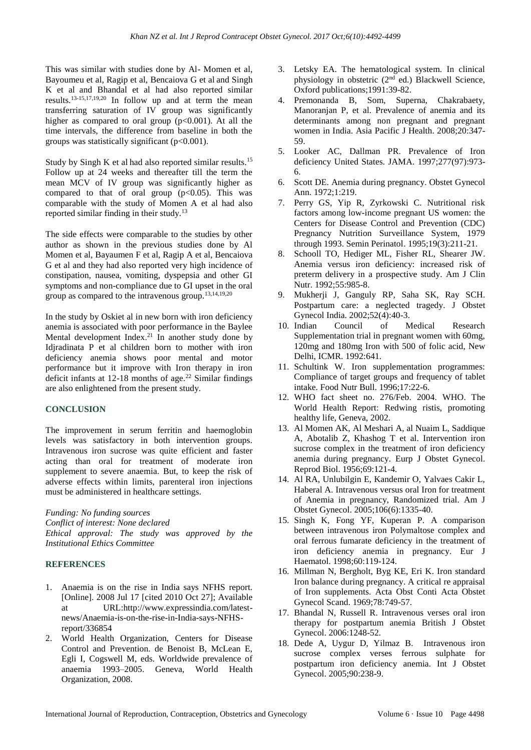This was similar with studies done by Al- Momen et al, Bayoumeu et al, Ragip et al, Bencaiova G et al and Singh K et al and Bhandal et al had also reported similar results.13-15,17,19,20 In follow up and at term the mean transferring saturation of IV group was significantly higher as compared to oral group  $(p<0.001)$ . At all the time intervals, the difference from baseline in both the groups was statistically significant (p<0.001).

Study by Singh K et al had also reported similar results.<sup>15</sup> Follow up at 24 weeks and thereafter till the term the mean MCV of IV group was significantly higher as compared to that of oral group  $(p<0.05)$ . This was comparable with the study of Momen A et al had also reported similar finding in their study.<sup>13</sup>

The side effects were comparable to the studies by other author as shown in the previous studies done by Al Momen et al, Bayaumen F et al, Ragip A et al, Bencaiova G et al and they had also reported very high incidence of constipation, nausea, vomiting, dyspepsia and other GI symptoms and non-compliance due to GI upset in the oral group as compared to the intravenous group.13,14,19,20

In the study by Oskiet al in new born with iron deficiency anemia is associated with poor performance in the Baylee Mental development Index.<sup>21</sup> In another study done by Idjradinata P et al children born to mother with iron deficiency anemia shows poor mental and motor performance but it improve with Iron therapy in iron deficit infants at  $12-18$  months of age.<sup>22</sup> Similar findings are also enlightened from the present study.

#### **CONCLUSION**

The improvement in serum ferritin and haemoglobin levels was satisfactory in both intervention groups. Intravenous iron sucrose was quite efficient and faster acting than oral for treatment of moderate iron supplement to severe anaemia. But, to keep the risk of adverse effects within limits, parenteral iron injections must be administered in healthcare settings.

*Funding: No funding sources Conflict of interest: None declared Ethical approval: The study was approved by the Institutional Ethics Committee*

#### **REFERENCES**

- 1. Anaemia is on the rise in India says NFHS report. [Online]. 2008 Jul 17 [cited 2010 Oct 27]; Available at URL:http://www.expressindia.com/latestnews/Anaemia-is-on-the-rise-in-India-says-NFHSreport/336854
- 2. World Health Organization, Centers for Disease Control and Prevention. de Benoist B, McLean E, Egli I, Cogswell M, eds. Worldwide prevalence of anaemia 1993–2005. Geneva, World Health Organization, 2008.
- 3. Letsky EA. The hematological system. In clinical physiology in obstetric (2nd ed.) Blackwell Science, Oxford publications;1991:39-82.
- 4. Premonanda B, Som, Superna, Chakrabaety, Manoranjan P, et al. Prevalence of anemia and its determinants among non pregnant and pregnant women in India. Asia Pacific J Health. 2008;20:347- 59.
- 5. Looker AC, Dallman PR. Prevalence of Iron deficiency United States. JAMA. 1997;277(97):973- 6.
- 6. Scott DE. Anemia during pregnancy. Obstet Gynecol Ann. 1972;1:219.
- 7. Perry GS, Yip R, Zyrkowski C. Nutritional risk factors among low-income pregnant US women: the Centers for Disease Control and Prevention (CDC) Pregnancy Nutrition Surveillance System, 1979 through 1993. Semin Perinatol. 1995;19(3):211-21.
- 8. Schooll TO, Hediger ML, Fisher RL, Shearer JW. Anemia versus iron deficiency: increased risk of preterm delivery in a prospective study. Am J Clin Nutr. 1992;55:985-8.
- 9. Mukherji J, Ganguly RP, Saha SK, Ray SCH. Postpartum care: a neglected tragedy. J Obstet Gynecol India. 2002;52(4):40-3.
- 10. Indian Council of Medical Research Supplementation trial in pregnant women with 60mg, 120mg and 180mg Iron with 500 of folic acid, New Delhi, ICMR. 1992:641.
- 11. Schultink W. Iron supplementation programmes: Compliance of target groups and frequency of tablet intake. Food Nutr Bull. 1996;17:22-6.
- 12. WHO fact sheet no. 276/Feb. 2004. WHO. The World Health Report: Redwing ristis, promoting healthy life, Geneva, 2002.
- 13. Al Momen AK, Al Meshari A, al Nuaim L, Saddique A, Abotalib Z, Khashog T et al. Intervention iron sucrose complex in the treatment of iron deficiency anemia during pregnancy. Eurp J Obstet Gynecol. Reprod Biol. 1956;69:121-4.
- 14. Al RA, Unlubilgin E, Kandemir O, Yalvaes Cakir L, Haberal A. Intravenous versus oral Iron for treatment of Anemia in pregnancy, Randomized trial. Am J Obstet Gynecol. 2005;106(6):1335-40.
- 15. Singh K, Fong YF, Kuperan P. A comparison between intravenous iron Polymaltose complex and oral ferrous fumarate deficiency in the treatment of iron deficiency anemia in pregnancy. Eur J Haematol. 1998;60:119-124.
- 16. Millman N, Bergholt, Byg KE, Eri K. Iron standard Iron balance during pregnancy. A critical re appraisal of Iron supplements. Acta Obst Conti Acta Obstet Gynecol Scand. 1969;78:749-57.
- 17. Bhandal N, Russell R. Intravenous verses oral iron therapy for postpartum anemia British J Obstet Gynecol. 2006:1248-52.
- 18. Dede A, Uygur D, Yilmaz B. Intravenous iron sucrose complex verses ferrous sulphate for postpartum iron deficiency anemia. Int J Obstet Gynecol. 2005;90:238-9.